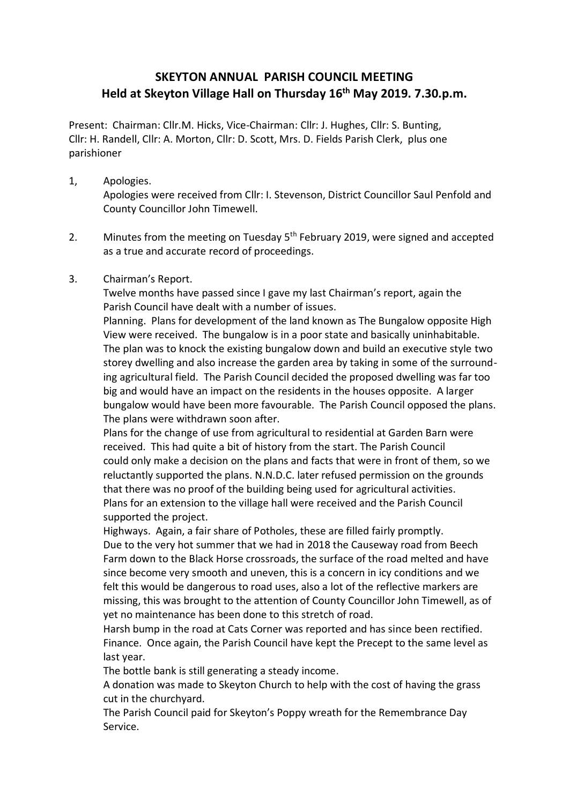## **SKEYTON ANNUAL PARISH COUNCIL MEETING Held at Skeyton Village Hall on Thursday 16th May 2019. 7.30.p.m.**

Present: Chairman: Cllr.M. Hicks, Vice-Chairman: Cllr: J. Hughes, Cllr: S. Bunting, Cllr: H. Randell, Cllr: A. Morton, Cllr: D. Scott, Mrs. D. Fields Parish Clerk, plus one parishioner

1, Apologies.

Apologies were received from Cllr: I. Stevenson, District Councillor Saul Penfold and County Councillor John Timewell.

- 2. Minutes from the meeting on Tuesday 5<sup>th</sup> February 2019, were signed and accepted as a true and accurate record of proceedings.
- 3. Chairman's Report.

Twelve months have passed since I gave my last Chairman's report, again the Parish Council have dealt with a number of issues.

Planning. Plans for development of the land known as The Bungalow opposite High View were received. The bungalow is in a poor state and basically uninhabitable. The plan was to knock the existing bungalow down and build an executive style two storey dwelling and also increase the garden area by taking in some of the surrounding agricultural field. The Parish Council decided the proposed dwelling was far too big and would have an impact on the residents in the houses opposite. A larger bungalow would have been more favourable. The Parish Council opposed the plans. The plans were withdrawn soon after.

Plans for the change of use from agricultural to residential at Garden Barn were received. This had quite a bit of history from the start. The Parish Council could only make a decision on the plans and facts that were in front of them, so we reluctantly supported the plans. N.N.D.C. later refused permission on the grounds that there was no proof of the building being used for agricultural activities. Plans for an extension to the village hall were received and the Parish Council supported the project.

Highways. Again, a fair share of Potholes, these are filled fairly promptly. Due to the very hot summer that we had in 2018 the Causeway road from Beech Farm down to the Black Horse crossroads, the surface of the road melted and have since become very smooth and uneven, this is a concern in icy conditions and we felt this would be dangerous to road uses, also a lot of the reflective markers are missing, this was brought to the attention of County Councillor John Timewell, as of yet no maintenance has been done to this stretch of road.

Harsh bump in the road at Cats Corner was reported and has since been rectified. Finance. Once again, the Parish Council have kept the Precept to the same level as last year.

The bottle bank is still generating a steady income.

A donation was made to Skeyton Church to help with the cost of having the grass cut in the churchyard.

The Parish Council paid for Skeyton's Poppy wreath for the Remembrance Day Service.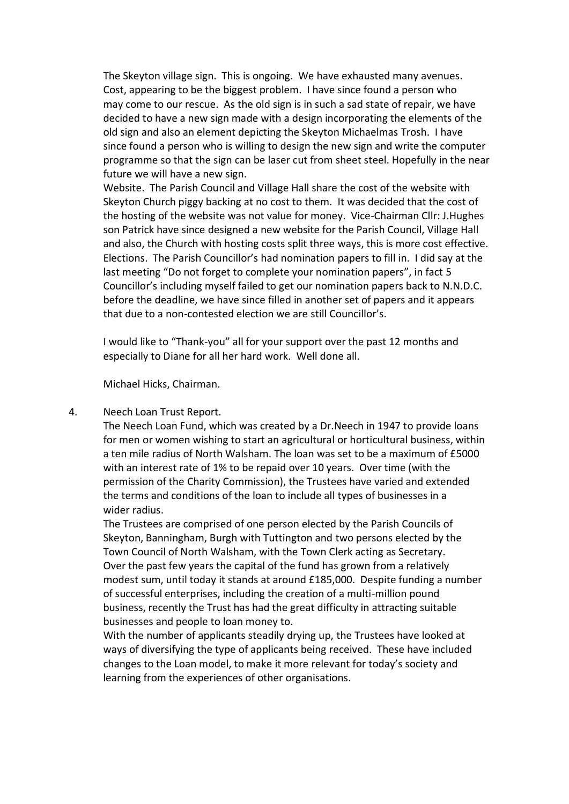The Skeyton village sign. This is ongoing. We have exhausted many avenues. Cost, appearing to be the biggest problem. I have since found a person who may come to our rescue. As the old sign is in such a sad state of repair, we have decided to have a new sign made with a design incorporating the elements of the old sign and also an element depicting the Skeyton Michaelmas Trosh. I have since found a person who is willing to design the new sign and write the computer programme so that the sign can be laser cut from sheet steel. Hopefully in the near future we will have a new sign.

Website. The Parish Council and Village Hall share the cost of the website with Skeyton Church piggy backing at no cost to them. It was decided that the cost of the hosting of the website was not value for money. Vice-Chairman Cllr: J.Hughes son Patrick have since designed a new website for the Parish Council, Village Hall and also, the Church with hosting costs split three ways, this is more cost effective. Elections. The Parish Councillor's had nomination papers to fill in. I did say at the last meeting "Do not forget to complete your nomination papers", in fact 5 Councillor's including myself failed to get our nomination papers back to N.N.D.C. before the deadline, we have since filled in another set of papers and it appears that due to a non-contested election we are still Councillor's.

I would like to "Thank-you" all for your support over the past 12 months and especially to Diane for all her hard work. Well done all.

Michael Hicks, Chairman.

## 4. Neech Loan Trust Report.

The Neech Loan Fund, which was created by a Dr.Neech in 1947 to provide loans for men or women wishing to start an agricultural or horticultural business, within a ten mile radius of North Walsham. The loan was set to be a maximum of £5000 with an interest rate of 1% to be repaid over 10 years. Over time (with the permission of the Charity Commission), the Trustees have varied and extended the terms and conditions of the loan to include all types of businesses in a wider radius.

The Trustees are comprised of one person elected by the Parish Councils of Skeyton, Banningham, Burgh with Tuttington and two persons elected by the Town Council of North Walsham, with the Town Clerk acting as Secretary. Over the past few years the capital of the fund has grown from a relatively modest sum, until today it stands at around £185,000. Despite funding a number of successful enterprises, including the creation of a multi-million pound business, recently the Trust has had the great difficulty in attracting suitable businesses and people to loan money to.

With the number of applicants steadily drying up, the Trustees have looked at ways of diversifying the type of applicants being received. These have included changes to the Loan model, to make it more relevant for today's society and learning from the experiences of other organisations.